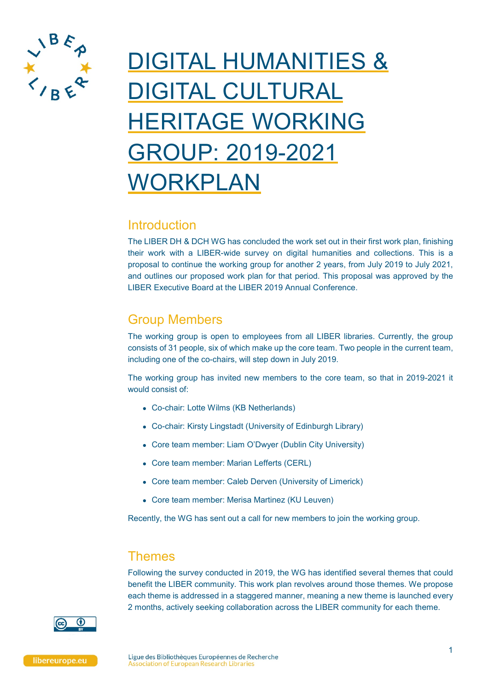

# DIGITAL HUMANITIES & DIGITAL CULTURAL HERITAGE WORKING GROUP: 2019-2021 WORKPLAN

### **Introduction**

The LIBER DH & DCH WG has concluded the work set out in their first work plan, finishing their work with a LIBER-wide survey on digital humanities and collections. This is a proposal to continue the working group for another 2 years, from July 2019 to July 2021, and outlines our proposed work plan for that period. This proposal was approved by the LIBER Executive Board at the LIBER 2019 Annual Conference.

# Group Members

The working group is open to employees from all LIBER libraries. Currently, the group consists of 31 people, six of which make up the core team. Two people in the current team, including one of the co-chairs, will step down in July 2019.

The working group has invited new members to the core team, so that in 2019-2021 it would consist of:

- Co-chair: Lotte Wilms (KB Netherlands)
- Co-chair: Kirsty Lingstadt (University of Edinburgh Library)
- Core team member: Liam O'Dwyer (Dublin City University)
- Core team member: Marian Lefferts (CERL)
- Core team member: Caleb Derven (University of Limerick)
- Core team member: Merisa Martinez (KU Leuven)

Recently, the WG has sent out a call for new members to join the working group.

## Themes

Following the survey conducted in 2019, the WG has identified several themes that could benefit the LIBER community. This work plan revolves around those themes. We propose each theme is addressed in a staggered manner, meaning a new theme is launched every 2 months, actively seeking collaboration across the LIBER community for each theme.

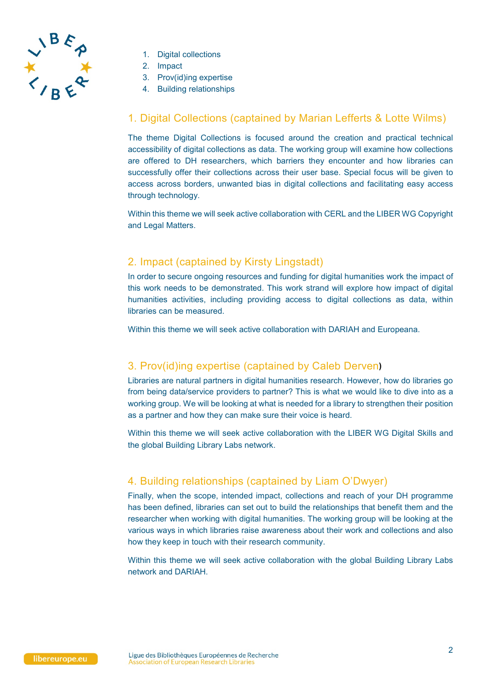

- 1. Digital collections
- 2. Impact
- 3. Prov(id)ing expertise
- 4. Building relationships

#### 1. Digital Collections (captained by Marian Lefferts & Lotte Wilms)

The theme Digital Collections is focused around the creation and practical technical accessibility of digital collections as data. The working group will examine how collections are offered to DH researchers, which barriers they encounter and how libraries can successfully offer their collections across their user base. Special focus will be given to access across borders, unwanted bias in digital collections and facilitating easy access through technology.

Within this theme we will seek active collaboration with CERL and the LIBER WG Copyright and Legal Matters.

#### 2. Impact (captained by Kirsty Lingstadt)

In order to secure ongoing resources and funding for digital humanities work the impact of this work needs to be demonstrated. This work strand will explore how impact of digital humanities activities, including providing access to digital collections as data, within libraries can be measured.

Within this theme we will seek active collaboration with DARIAH and Europeana.

#### 3. Prov(id)ing expertise (captained by Caleb Derven**)**

Libraries are natural partners in digital humanities research. However, how do libraries go from being data/service providers to partner? This is what we would like to dive into as a working group. We will be looking at what is needed for a library to strengthen their position as a partner and how they can make sure their voice is heard.

Within this theme we will seek active collaboration with the LIBER WG Digital Skills and the global Building Library Labs network.

#### 4. Building relationships (captained by Liam O'Dwyer)

Finally, when the scope, intended impact, collections and reach of your DH programme has been defined, libraries can set out to build the relationships that benefit them and the researcher when working with digital humanities. The working group will be looking at the various ways in which libraries raise awareness about their work and collections and also how they keep in touch with their research community.

Within this theme we will seek active collaboration with the global Building Library Labs network and DARIAH.